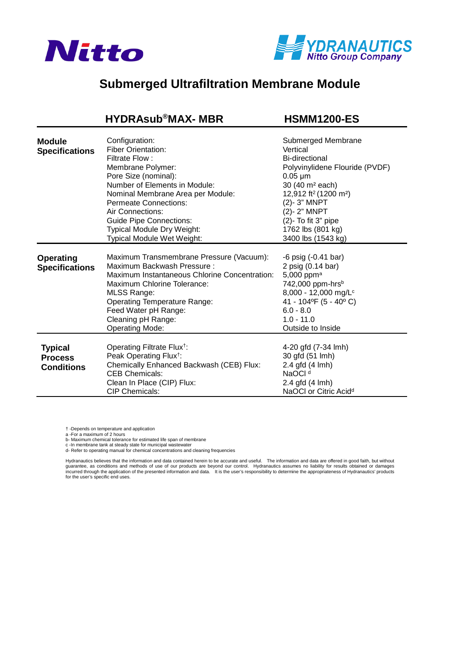



## **[Submerged Ultrafiltration Membrane Module](https://www.pureaqua.com/hydrasub-max-hsmm1200-es-membrane/)**

 **HYDRAsub®MAX- MBR HSMM1200-ES**

| <b>Module</b><br><b>Specifications</b>                | Configuration:<br><b>Fiber Orientation:</b><br>Filtrate Flow:<br>Membrane Polymer:<br>Pore Size (nominal):<br>Number of Elements in Module:<br>Nominal Membrane Area per Module:<br>Permeate Connections:<br>Air Connections:<br><b>Guide Pipe Connections:</b><br>Typical Module Dry Weight:<br>Typical Module Wet Weight: | Submerged Membrane<br>Vertical<br><b>Bi-directional</b><br>Polyvinylidene Flouride (PVDF)<br>$0.05 \mu m$<br>30 (40 m <sup>2</sup> each)<br>12,912 ft <sup>2</sup> (1200 m <sup>2</sup> )<br>(2)-3" MNPT<br>(2)-2" MNPT<br>(2)- To fit 3" pipe<br>1762 lbs (801 kg)<br>3400 lbs (1543 kg) |
|-------------------------------------------------------|-----------------------------------------------------------------------------------------------------------------------------------------------------------------------------------------------------------------------------------------------------------------------------------------------------------------------------|-------------------------------------------------------------------------------------------------------------------------------------------------------------------------------------------------------------------------------------------------------------------------------------------|
| <b>Operating</b><br><b>Specifications</b>             | Maximum Transmembrane Pressure (Vacuum):<br>Maximum Backwash Pressure:<br><b>Maximum Instantaneous Chlorine Concentration:</b><br>Maximum Chlorine Tolerance:<br><b>MLSS Range:</b><br><b>Operating Temperature Range:</b><br>Feed Water pH Range:<br>Cleaning pH Range:<br>Operating Mode:                                 | -6 psig (-0.41 bar)<br>2 psig (0.14 bar)<br>5,000 ppm $a$<br>742,000 ppm-hrs <sup>b</sup><br>8,000 - 12,000 mg/L <sup>c</sup><br>41 - 104°F (5 - 40°C)<br>$6.0 - 8.0$<br>$1.0 - 11.0$<br>Outside to Inside                                                                                |
| <b>Typical</b><br><b>Process</b><br><b>Conditions</b> | Operating Filtrate Flux <sup>†</sup> :<br>Peak Operating Flux <sup>†</sup> :<br>Chemically Enhanced Backwash (CEB) Flux:<br><b>CEB Chemicals:</b><br>Clean In Place (CIP) Flux:<br><b>CIP Chemicals:</b>                                                                                                                    | 4-20 gfd (7-34 lmh)<br>30 gfd (51 lmh)<br>2.4 gfd (4 lmh)<br>NaOCI <sup>d</sup><br>2.4 gfd (4 lmh)<br>NaOCI or Citric Acid <sup>d</sup>                                                                                                                                                   |

† -Depends on temperature and application

a -For a maximum of 2 hours

b- Maximum chemical tolerance for estimated life span of membrane

c -In membrane tank at steady state for municipal wastewater d- Refer to operating manual for chemical concentrations and cleaning frequencies

Hydranautics believes that the information and data contained herein to be accurate and useful. The information and data are offered in good faith, but without<br>incurred through the application of the presented information